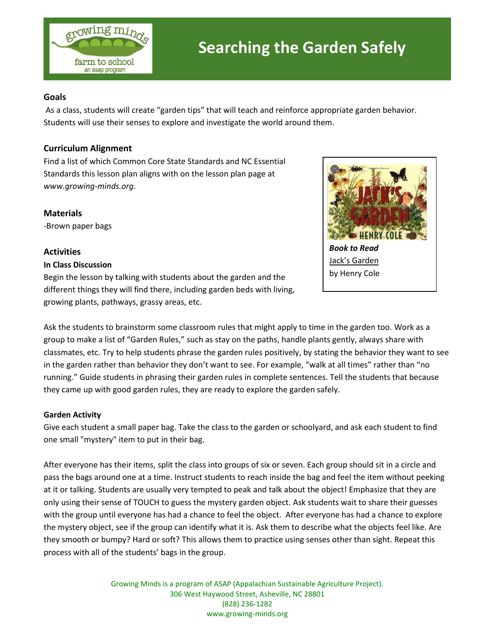

### **Goals**

As a class, students will create "garden tips" that will teach and reinforce appropriate garden behavior. Students will use their senses to explore and investigate the world around them.

## **Curriculum Alignment**

Find a list of which Common Core State Standards and NC Essential Standards this lesson plan aligns with on the lesson plan page at *www.growing-minds.org*.

**Materials** -Brown paper bags

# **Activities**

#### **In Class Discussion**



Begin the lesson by talking with students about the garden and the different things they will find there, including garden beds with living, growing plants, pathways, grassy areas, etc.

Ask the students to brainstorm some classroom rules that might apply to time in the garden too. Work as a group to make a list of "Garden Rules," such as stay on the paths, handle plants gently, always share with classmates, etc. Try to help students phrase the garden rules positively, by stating the behavior they want to see in the garden rather than behavior they don't want to see. For example, "walk at all times" rather than "no running." Guide students in phrasing their garden rules in complete sentences. Tell the students that because they came up with good garden rules, they are ready to explore the garden safely.

#### **Garden Activity**

Give each student a small paper bag. Take the class to the garden or schoolyard, and ask each student to find one small "mystery" item to put in their bag.

After everyone has their items, split the class into groups of six or seven. Each group should sit in a circle and pass the bags around one at a time. Instruct students to reach inside the bag and feel the item without peeking at it or talking. Students are usually very tempted to peak and talk about the object! Emphasize that they are only using their sense of TOUCH to guess the mystery garden object. Ask students wait to share their guesses with the group until everyone has had a chance to feel the object. After everyone has had a chance to explore the mystery object, see if the group can identify what it is. Ask them to describe what the objects feel like. Are they smooth or bumpy? Hard or soft? This allows them to practice using senses other than sight. Repeat this process with all of the students' bags in the group.

> Growing Minds is a program of ASAP (Appalachian Sustainable Agriculture Project). 306 West Haywood Street, Asheville, NC 28801 (828) 236-1282 www.growing-minds.org